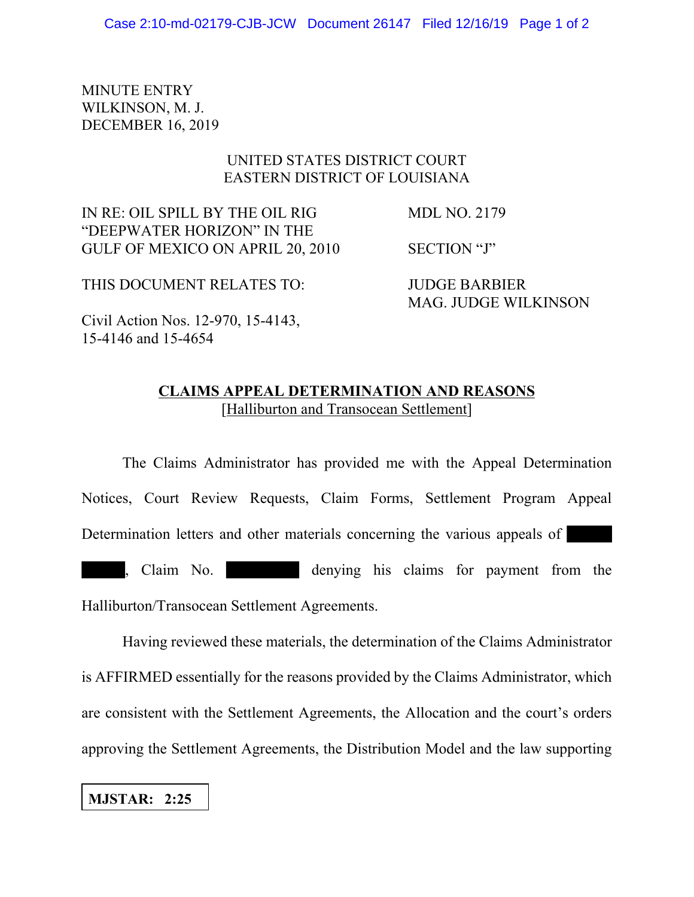MINUTE ENTRY WILKINSON, M. J. DECEMBER 16, 2019

## UNITED STATES DISTRICT COURT EASTERN DISTRICT OF LOUISIANA

IN RE: OIL SPILL BY THE OIL RIG MDL NO. 2179 "DEEPWATER HORIZON" IN THE GULF OF MEXICO ON APRIL 20, 2010 SECTION "J"

MAG. JUDGE WILKINSON

THIS DOCUMENT RELATES TO: JUDGE BARBIER

Civil Action Nos. 12-970, 15-4143, 15-4146 and 15-4654

## **CLAIMS APPEAL DETERMINATION AND REASONS** [Halliburton and Transocean Settlement]

The Claims Administrator has provided me with the Appeal Determination Notices, Court Review Requests, Claim Forms, Settlement Program Appeal Determination letters and other materials concerning the various appeals of , Claim No. denying his claims for payment from the Halliburton/Transocean Settlement Agreements.

Having reviewed these materials, the determination of the Claims Administrator is AFFIRMED essentially for the reasons provided by the Claims Administrator, which are consistent with the Settlement Agreements, the Allocation and the court's orders approving the Settlement Agreements, the Distribution Model and the law supporting

## **MJSTAR: 2:25**